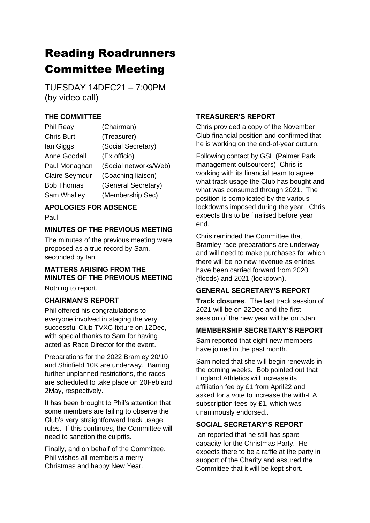# Reading Roadrunners Committee Meeting

TUESDAY 14DEC21 – 7:00PM (by video call)

## **THE COMMITTEE**

| Phil Reay             | (Chairman)            |
|-----------------------|-----------------------|
| <b>Chris Burt</b>     | (Treasurer)           |
| lan Giggs             | (Social Secretary)    |
| <b>Anne Goodall</b>   | (Ex officio)          |
| Paul Monaghan         | (Social networks/Web) |
| <b>Claire Seymour</b> | (Coaching liaison)    |
| <b>Bob Thomas</b>     | (General Secretary)   |
| Sam Whalley           | (Membership Sec)      |

## **APOLOGIES FOR ABSENCE**

Paul

## **MINUTES OF THE PREVIOUS MEETING**

The minutes of the previous meeting were proposed as a true record by Sam, seconded by Ian.

## **MATTERS ARISING FROM THE MINUTES OF THE PREVIOUS MEETING**

Nothing to report.

## **CHAIRMAN'S REPORT**

Phil offered his congratulations to everyone involved in staging the very successful Club TVXC fixture on 12Dec, with special thanks to Sam for having acted as Race Director for the event.

Preparations for the 2022 Bramley 20/10 and Shinfield 10K are underway. Barring further unplanned restrictions, the races are scheduled to take place on 20Feb and 2May, respectively.

It has been brought to Phil's attention that some members are failing to observe the Club's very straightforward track usage rules. If this continues, the Committee will need to sanction the culprits.

Finally, and on behalf of the Committee, Phil wishes all members a merry Christmas and happy New Year.

## **TREASURER'S REPORT**

Chris provided a copy of the November Club financial position and confirmed that he is working on the end-of-year outturn.

Following contact by GSL (Palmer Park management outsourcers), Chris is working with its financial team to agree what track usage the Club has bought and what was consumed through 2021. The position is complicated by the various lockdowns imposed during the year. Chris expects this to be finalised before year end.

Chris reminded the Committee that Bramley race preparations are underway and will need to make purchases for which there will be no new revenue as entries have been carried forward from 2020 (floods) and 2021 (lockdown).

## **GENERAL SECRETARY'S REPORT**

**Track closures**. The last track session of 2021 will be on 22Dec and the first session of the new year will be on 5Jan.

## **MEMBERSHIP SECRETARY'S REPORT**

Sam reported that eight new members have joined in the past month.

Sam noted that she will begin renewals in the coming weeks. Bob pointed out that England Athletics will increase its affiliation fee by £1 from April22 and asked for a vote to increase the with-EA subscription fees by £1, which was unanimously endorsed..

## **SOCIAL SECRETARY'S REPORT**

Ian reported that he still has spare capacity for the Christmas Party. He expects there to be a raffle at the party in support of the Charity and assured the Committee that it will be kept short.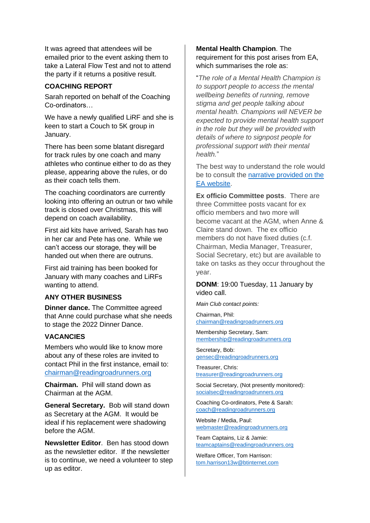It was agreed that attendees will be emailed prior to the event asking them to take a Lateral Flow Test and not to attend the party if it returns a positive result.

#### **COACHING REPORT**

Sarah reported on behalf of the Coaching Co-ordinators…

We have a newly qualified LiRF and she is keen to start a Couch to 5K group in January.

There has been some blatant disregard for track rules by one coach and many athletes who continue either to do as they please, appearing above the rules, or do as their coach tells them.

The coaching coordinators are currently looking into offering an outrun or two while track is closed over Christmas, this will depend on coach availability.

First aid kits have arrived, Sarah has two in her car and Pete has one. While we can't access our storage, they will be handed out when there are outruns.

First aid training has been booked for January with many coaches and LiRFs wanting to attend.

#### **ANY OTHER BUSINESS**

**Dinner dance.** The Committee agreed that Anne could purchase what she needs to stage the 2022 Dinner Dance.

#### **VACANCIES**

Members who would like to know more about any of these roles are invited to contact Phil in the first instance, email to: [chairman@readingroadrunners.org](mailto:chairman@readingroadrunners.org)

**Chairman.** Phil will stand down as Chairman at the AGM.

**General Secretary.** Bob will stand down as Secretary at the AGM. It would be ideal if his replacement were shadowing before the AGM.

**Newsletter Editor**. Ben has stood down as the newsletter editor. If the newsletter is to continue, we need a volunteer to step up as editor.

#### **Mental Health Champion**. The requirement for this post arises from EA, which summarises the role as:

"*The role of a Mental Health Champion is to support people to access the mental wellbeing benefits of running, remove stigma and get people talking about mental health. Champions will NEVER be expected to provide mental health support in the role but they will be provided with details of where to signpost people for professional support with their mental health.*"

The best way to understand the role would be to consult the [narrative provided on the](https://www.englandathletics.org/athletics-and-running/our-programmes/runandtalk/mental-health-champions/)  [EA website.](https://www.englandathletics.org/athletics-and-running/our-programmes/runandtalk/mental-health-champions/)

**Ex officio Committee posts**. There are three Committee posts vacant for ex officio members and two more will become vacant at the AGM, when Anne & Claire stand down. The ex officio members do not have fixed duties (c.f. Chairman, Media Manager, Treasurer, Social Secretary, etc) but are available to take on tasks as they occur throughout the year.

**DONM**: 19:00 Tuesday, 11 January by video call.

*Main Club contact points:*

Chairman, Phil: [chairman@readingroadrunners.org](mailto:chairman@readingroadrunners.org)

Membership Secretary, Sam: [membership@readingroadrunners.org](mailto:membership@readingroadrunners.org)

Secretary, Bob: [gensec@readingroadrunners.org](mailto:gensec@readingroadrunners.org)

Treasurer, Chris: [treasurer@readingroadrunners.org](mailto:treasurer@readingroadrunners.org)

Social Secretary, (Not presently monitored): [socialsec@readingroadrunners.org](mailto:socialsec@readingroadrunners.org)

Coaching Co-ordinators, Pete & Sarah: [coach@readingroadrunners.org](mailto:coach@readingroadrunners.org)

Website / Media, Paul: [webmaster@readingroadrunners.org](mailto:webmaster@readingroadrunners.org)

Team Captains, Liz & Jamie: [teamcaptains@readingroadrunners.org](mailto:teamcaptains@readingroadrunners.org)

Welfare Officer, Tom Harrison: [tom.harrison13w@btinternet.com](mailto:tom.harrison13w@btinternet.com)